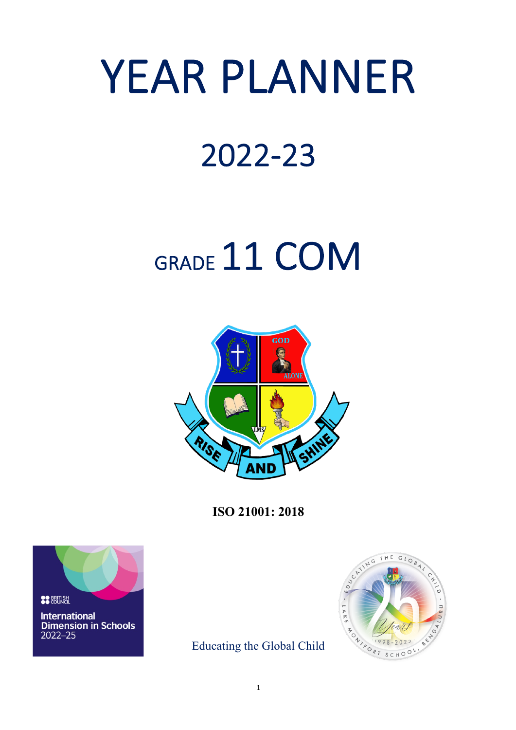# YEAR PLANNER

### 2022-23

## GRADE 11 COM



**ISO 21001: 2018**



Educating the Global Child

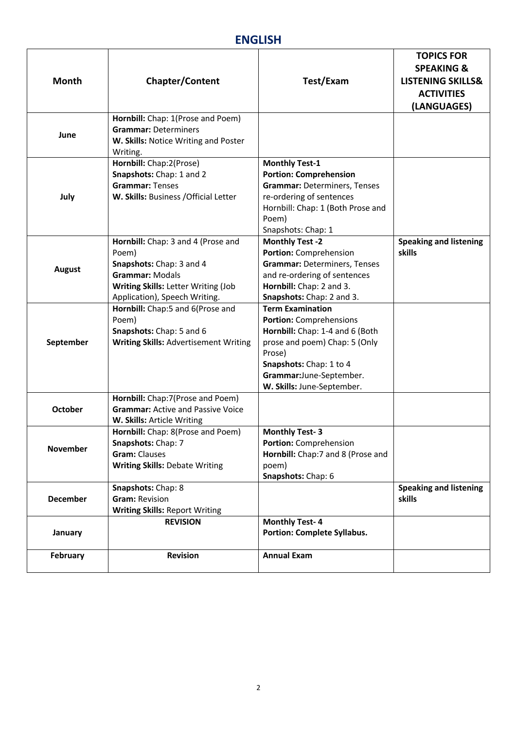#### **ENGLISH**

| <b>Month</b>    | <b>Chapter/Content</b>                                                                                                                                                    | Test/Exam                                                                                                                                                                                                            | <b>TOPICS FOR</b><br><b>SPEAKING &amp;</b><br><b>LISTENING SKILLS&amp;</b><br><b>ACTIVITIES</b><br>(LANGUAGES) |
|-----------------|---------------------------------------------------------------------------------------------------------------------------------------------------------------------------|----------------------------------------------------------------------------------------------------------------------------------------------------------------------------------------------------------------------|----------------------------------------------------------------------------------------------------------------|
| June            | Hornbill: Chap: 1(Prose and Poem)<br><b>Grammar: Determiners</b><br>W. Skills: Notice Writing and Poster<br>Writing.                                                      |                                                                                                                                                                                                                      |                                                                                                                |
| July            | Hornbill: Chap:2(Prose)<br>Snapshots: Chap: 1 and 2<br><b>Grammar: Tenses</b><br>W. Skills: Business / Official Letter                                                    | <b>Monthly Test-1</b><br><b>Portion: Comprehension</b><br><b>Grammar: Determiners, Tenses</b><br>re-ordering of sentences<br>Hornbill: Chap: 1 (Both Prose and<br>Poem)<br>Snapshots: Chap: 1                        |                                                                                                                |
| <b>August</b>   | Hornbill: Chap: 3 and 4 (Prose and<br>Poem)<br>Snapshots: Chap: 3 and 4<br><b>Grammar: Modals</b><br>Writing Skills: Letter Writing (Job<br>Application), Speech Writing. | <b>Monthly Test -2</b><br>Portion: Comprehension<br><b>Grammar: Determiners, Tenses</b><br>and re-ordering of sentences<br>Hornbill: Chap: 2 and 3.<br>Snapshots: Chap: 2 and 3.                                     | <b>Speaking and listening</b><br>skills                                                                        |
| September       | Hornbill: Chap:5 and 6(Prose and<br>Poem)<br>Snapshots: Chap: 5 and 6<br><b>Writing Skills: Advertisement Writing</b>                                                     | <b>Term Examination</b><br>Portion: Comprehensions<br>Hornbill: Chap: 1-4 and 6 (Both<br>prose and poem) Chap: 5 (Only<br>Prose)<br>Snapshots: Chap: 1 to 4<br>Grammar:June-September.<br>W. Skills: June-September. |                                                                                                                |
| <b>October</b>  | Hornbill: Chap:7(Prose and Poem)<br><b>Grammar:</b> Active and Passive Voice<br>W. Skills: Article Writing                                                                |                                                                                                                                                                                                                      |                                                                                                                |
| <b>November</b> | Hornbill: Chap: 8(Prose and Poem)<br>Snapshots: Chap: 7<br><b>Gram: Clauses</b><br><b>Writing Skills: Debate Writing</b>                                                  | <b>Monthly Test-3</b><br>Portion: Comprehension<br>Hornbill: Chap:7 and 8 (Prose and<br>poem)<br>Snapshots: Chap: 6                                                                                                  |                                                                                                                |
| <b>December</b> | Snapshots: Chap: 8<br><b>Gram: Revision</b><br><b>Writing Skills: Report Writing</b>                                                                                      |                                                                                                                                                                                                                      | <b>Speaking and listening</b><br>skills                                                                        |
| January         | <b>REVISION</b>                                                                                                                                                           | <b>Monthly Test-4</b><br><b>Portion: Complete Syllabus.</b>                                                                                                                                                          |                                                                                                                |
| February        | <b>Revision</b>                                                                                                                                                           | <b>Annual Exam</b>                                                                                                                                                                                                   |                                                                                                                |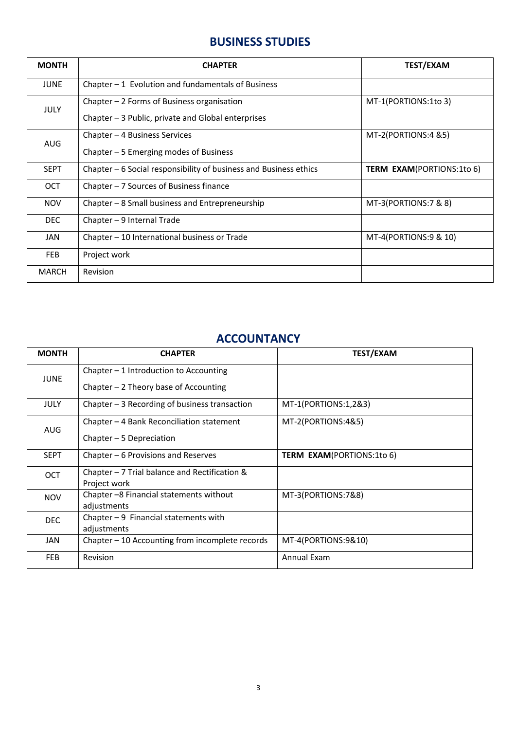#### **BUSINESS STUDIES**

| <b>MONTH</b> | <b>CHAPTER</b>                                                                                    | <b>TEST/EXAM</b>                 |
|--------------|---------------------------------------------------------------------------------------------------|----------------------------------|
| <b>JUNE</b>  | Chapter $-1$ Evolution and fundamentals of Business                                               |                                  |
| <b>JULY</b>  | Chapter $-2$ Forms of Business organisation<br>Chapter - 3 Public, private and Global enterprises | MT-1(PORTIONS:1to 3)             |
| <b>AUG</b>   | Chapter – 4 Business Services<br>Chapter $-5$ Emerging modes of Business                          | $MT-2(PORTIONS:4 85)$            |
| <b>SEPT</b>  | Chapter – 6 Social responsibility of business and Business ethics                                 | <b>TERM EXAM(PORTIONS:1to 6)</b> |
| OCT          | Chapter $-7$ Sources of Business finance                                                          |                                  |
| <b>NOV</b>   | Chapter - 8 Small business and Entrepreneurship                                                   | MT-3(PORTIONS:7 & 8)             |
| DEC          | Chapter - 9 Internal Trade                                                                        |                                  |
| JAN          | Chapter - 10 International business or Trade                                                      | MT-4(PORTIONS:9 & 10)            |
| <b>FEB</b>   | Project work                                                                                      |                                  |
| <b>MARCH</b> | Revision                                                                                          |                                  |

#### **ACCOUNTANCY**

| <b>MONTH</b> | <b>CHAPTER</b>                                         | <b>TEST/EXAM</b>                 |
|--------------|--------------------------------------------------------|----------------------------------|
| <b>JUNE</b>  | Chapter $-1$ Introduction to Accounting                |                                  |
|              | Chapter $-2$ Theory base of Accounting                 |                                  |
| <b>JULY</b>  | Chapter $-3$ Recording of business transaction         | MT-1(PORTIONS:1,2&3)             |
| <b>AUG</b>   | Chapter $-4$ Bank Reconciliation statement             | MT-2(PORTIONS:4&5)               |
|              | Chapter - 5 Depreciation                               |                                  |
| <b>SEPT</b>  | Chapter - 6 Provisions and Reserves                    | <b>TERM EXAM(PORTIONS:1to 6)</b> |
| <b>OCT</b>   | Chapter $-7$ Trial balance and Rectification &         |                                  |
|              | Project work                                           |                                  |
| <b>NOV</b>   | Chapter -8 Financial statements without<br>adjustments | MT-3(PORTIONS:7&8)               |
| <b>DEC</b>   | Chapter $-9$ Financial statements with                 |                                  |
|              | adjustments                                            |                                  |
| JAN          | Chapter - 10 Accounting from incomplete records        | MT-4(PORTIONS:9&10)              |
| <b>FEB</b>   | Revision                                               | Annual Exam                      |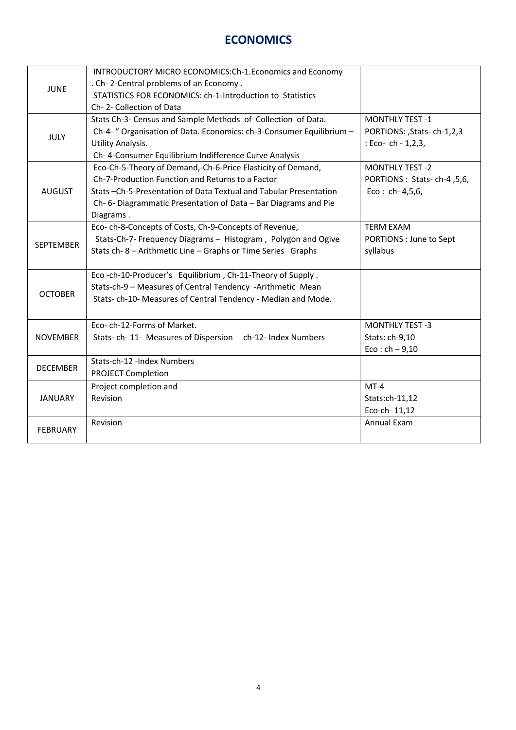#### **ECONOMICS**

| <b>JUNE</b>      | INTRODUCTORY MICRO ECONOMICS:Ch-1.Economics and Economy              |                              |
|------------------|----------------------------------------------------------------------|------------------------------|
|                  | . Ch-2-Central problems of an Economy.                               |                              |
|                  | STATISTICS FOR ECONOMICS: ch-1-Introduction to Statistics            |                              |
|                  | Ch-2-Collection of Data                                              |                              |
| <b>JULY</b>      | Stats Ch-3- Census and Sample Methods of Collection of Data.         | <b>MONTHLY TEST -1</b>       |
|                  | Ch-4- " Organisation of Data. Economics: ch-3-Consumer Equilibrium - | PORTIONS: , Stats-ch-1,2,3   |
|                  | Utility Analysis.                                                    | : Eco- ch - $1,2,3$ ,        |
|                  | Ch- 4-Consumer Equilibrium Indifference Curve Analysis               |                              |
|                  | Eco-Ch-5-Theory of Demand,-Ch-6-Price Elasticity of Demand,          | <b>MONTHLY TEST -2</b>       |
|                  | Ch-7-Production Function and Returns to a Factor                     | PORTIONS : Stats-ch-4, 5, 6, |
| <b>AUGUST</b>    | Stats -Ch-5-Presentation of Data Textual and Tabular Presentation    | $Eco: ch-4, 5, 6,$           |
|                  | Ch- 6- Diagrammatic Presentation of Data - Bar Diagrams and Pie      |                              |
|                  | Diagrams.                                                            |                              |
|                  | Eco-ch-8-Concepts of Costs, Ch-9-Concepts of Revenue,                | <b>TERM EXAM</b>             |
| <b>SEPTEMBER</b> | Stats-Ch-7- Frequency Diagrams - Histogram, Polygon and Ogive        | PORTIONS : June to Sept      |
|                  | Stats ch-8 - Arithmetic Line - Graphs or Time Series Graphs          | syllabus                     |
|                  |                                                                      |                              |
|                  | Eco-ch-10-Producer's Equilibrium, Ch-11-Theory of Supply.            |                              |
|                  | Stats-ch-9 - Measures of Central Tendency -Arithmetic Mean           |                              |
| <b>OCTOBER</b>   | Stats-ch-10- Measures of Central Tendency - Median and Mode.         |                              |
|                  |                                                                      |                              |
|                  | Eco-ch-12-Forms of Market.                                           | <b>MONTHLY TEST -3</b>       |
| <b>NOVEMBER</b>  | Stats- ch-11- Measures of Dispersion ch-12- Index Numbers            | Stats: ch-9,10               |
|                  |                                                                      | $Eco: ch - 9, 10$            |
|                  | Stats-ch-12 -Index Numbers                                           |                              |
| <b>DECEMBER</b>  | <b>PROJECT Completion</b>                                            |                              |
| <b>JANUARY</b>   | Project completion and                                               | $MT-4$                       |
|                  | Revision                                                             | Stats:ch-11,12               |
|                  |                                                                      | Eco-ch-11,12                 |
|                  | Revision                                                             | Annual Exam                  |
| <b>FEBRUARY</b>  |                                                                      |                              |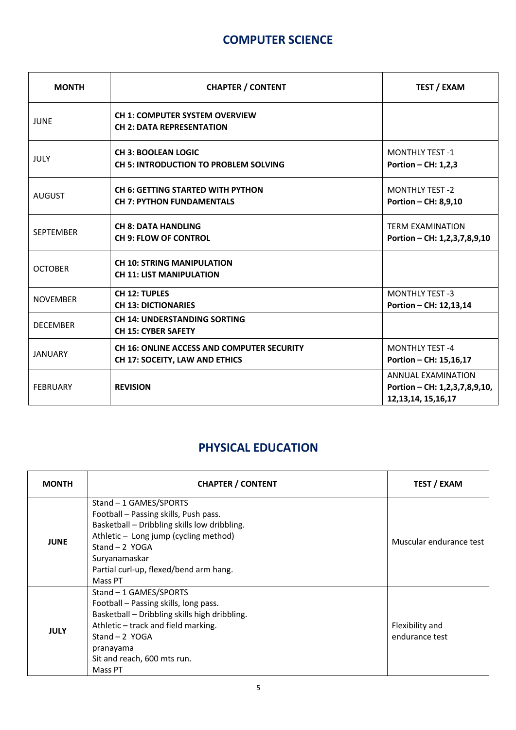#### **COMPUTER SCIENCE**

| <b>MONTH</b>     | <b>CHAPTER / CONTENT</b>                                                            | <b>TEST / EXAM</b>                                                                   |
|------------------|-------------------------------------------------------------------------------------|--------------------------------------------------------------------------------------|
| <b>JUNE</b>      | <b>CH 1: COMPUTER SYSTEM OVERVIEW</b><br><b>CH 2: DATA REPRESENTATION</b>           |                                                                                      |
| JULY             | <b>CH 3: BOOLEAN LOGIC</b><br><b>CH 5: INTRODUCTION TO PROBLEM SOLVING</b>          | <b>MONTHLY TEST -1</b><br>Portion $-$ CH: 1,2,3                                      |
| <b>AUGUST</b>    | <b>CH 6: GETTING STARTED WITH PYTHON</b><br><b>CH 7: PYTHON FUNDAMENTALS</b>        | <b>MONTHLY TEST -2</b><br>Portion - CH: 8,9,10                                       |
| <b>SEPTEMBER</b> | <b>CH 8: DATA HANDLING</b><br><b>CH 9: FLOW OF CONTROL</b>                          | <b>TERM EXAMINATION</b><br>Portion - CH: 1,2,3,7,8,9,10                              |
| <b>OCTOBER</b>   | <b>CH 10: STRING MANIPULATION</b><br><b>CH 11: LIST MANIPULATION</b>                |                                                                                      |
| <b>NOVEMBER</b>  | <b>CH 12: TUPLES</b><br><b>CH 13: DICTIONARIES</b>                                  | <b>MONTHLY TEST -3</b><br>Portion - CH: 12,13,14                                     |
| <b>DECEMBER</b>  | <b>CH 14: UNDERSTANDING SORTING</b><br><b>CH 15: CYBER SAFETY</b>                   |                                                                                      |
| <b>JANUARY</b>   | <b>CH 16: ONLINE ACCESS AND COMPUTER SECURITY</b><br>CH 17: SOCEITY, LAW AND ETHICS | <b>MONTHLY TEST-4</b><br>Portion - CH: 15,16,17                                      |
| <b>FEBRUARY</b>  | <b>REVISION</b>                                                                     | <b>ANNUAL EXAMINATION</b><br>Portion - CH: 1,2,3,7,8,9,10,<br>12, 13, 14, 15, 16, 17 |

#### **PHYSICAL EDUCATION**

| <b>MONTH</b> | <b>CHAPTER / CONTENT</b>                                                                                                                                                                                                                          | <b>TEST / EXAM</b>                |
|--------------|---------------------------------------------------------------------------------------------------------------------------------------------------------------------------------------------------------------------------------------------------|-----------------------------------|
| <b>JUNE</b>  | Stand - 1 GAMES/SPORTS<br>Football - Passing skills, Push pass.<br>Basketball - Dribbling skills low dribbling.<br>Athletic - Long jump (cycling method)<br>Stand $-2$ YOGA<br>Suryanamaskar<br>Partial curl-up, flexed/bend arm hang.<br>Mass PT | Muscular endurance test           |
| <b>JULY</b>  | Stand - 1 GAMES/SPORTS<br>Football - Passing skills, long pass.<br>Basketball - Dribbling skills high dribbling.<br>Athletic - track and field marking.<br>Stand $-2$ YOGA<br>pranayama<br>Sit and reach, 600 mts run.<br>Mass PT                 | Flexibility and<br>endurance test |